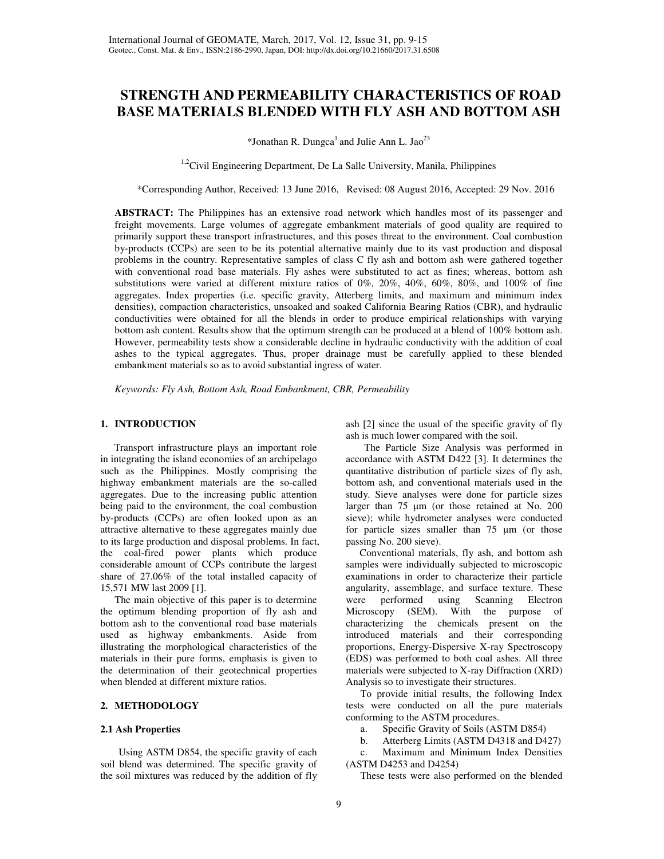# **STRENGTH AND PERMEABILITY CHARACTERISTICS OF ROAD BASE MATERIALS BLENDED WITH FLY ASH AND BOTTOM ASH**

\*Jonathan R. Dungca<sup>1</sup> and Julie Ann L. Jao<sup>23</sup>

<sup>1,2</sup>Civil Engineering Department, De La Salle University, Manila, Philippines

\*Corresponding Author, Received: 13 June 2016, Revised: 08 August 2016, Accepted: 29 Nov. 2016

**ABSTRACT:** The Philippines has an extensive road network which handles most of its passenger and freight movements. Large volumes of aggregate embankment materials of good quality are required to primarily support these transport infrastructures, and this poses threat to the environment. Coal combustion by-products (CCPs) are seen to be its potential alternative mainly due to its vast production and disposal problems in the country. Representative samples of class C fly ash and bottom ash were gathered together with conventional road base materials. Fly ashes were substituted to act as fines; whereas, bottom ash substitutions were varied at different mixture ratios of 0%, 20%, 40%, 60%, 80%, and 100% of fine aggregates. Index properties (i.e. specific gravity, Atterberg limits, and maximum and minimum index densities), compaction characteristics, unsoaked and soaked California Bearing Ratios (CBR), and hydraulic conductivities were obtained for all the blends in order to produce empirical relationships with varying bottom ash content. Results show that the optimum strength can be produced at a blend of 100% bottom ash. However, permeability tests show a considerable decline in hydraulic conductivity with the addition of coal ashes to the typical aggregates. Thus, proper drainage must be carefully applied to these blended embankment materials so as to avoid substantial ingress of water.

*Keywords: Fly Ash, Bottom Ash, Road Embankment, CBR, Permeability* 

# **1. INTRODUCTION**

Transport infrastructure plays an important role in integrating the island economies of an archipelago such as the Philippines. Mostly comprising the highway embankment materials are the so-called aggregates. Due to the increasing public attention being paid to the environment, the coal combustion by-products (CCPs) are often looked upon as an attractive alternative to these aggregates mainly due to its large production and disposal problems. In fact, the coal-fired power plants which produce considerable amount of CCPs contribute the largest share of 27.06% of the total installed capacity of 15,571 MW last 2009 [1].

The main objective of this paper is to determine the optimum blending proportion of fly ash and bottom ash to the conventional road base materials used as highway embankments. Aside from illustrating the morphological characteristics of the materials in their pure forms, emphasis is given to the determination of their geotechnical properties when blended at different mixture ratios.

# **2. METHODOLOGY**

#### **2.1 Ash Properties**

Using ASTM D854, the specific gravity of each soil blend was determined. The specific gravity of the soil mixtures was reduced by the addition of fly ash [2] since the usual of the specific gravity of fly ash is much lower compared with the soil.

The Particle Size Analysis was performed in accordance with ASTM D422 [3]. It determines the quantitative distribution of particle sizes of fly ash, bottom ash, and conventional materials used in the study. Sieve analyses were done for particle sizes larger than 75 µm (or those retained at No. 200 sieve); while hydrometer analyses were conducted for particle sizes smaller than 75 µm (or those passing No. 200 sieve).

Conventional materials, fly ash, and bottom ash samples were individually subjected to microscopic examinations in order to characterize their particle angularity, assemblage, and surface texture. These were performed using Scanning Electron Microscopy (SEM). With the purpose of characterizing the chemicals present on the introduced materials and their corresponding proportions, Energy-Dispersive X-ray Spectroscopy (EDS) was performed to both coal ashes. All three materials were subjected to X-ray Diffraction (XRD) Analysis so to investigate their structures.

To provide initial results, the following Index tests were conducted on all the pure materials conforming to the ASTM procedures.

a. Specific Gravity of Soils (ASTM D854)

b. Atterberg Limits (ASTM D4318 and D427)

c. Maximum and Minimum Index Densities (ASTM D4253 and D4254)

These tests were also performed on the blended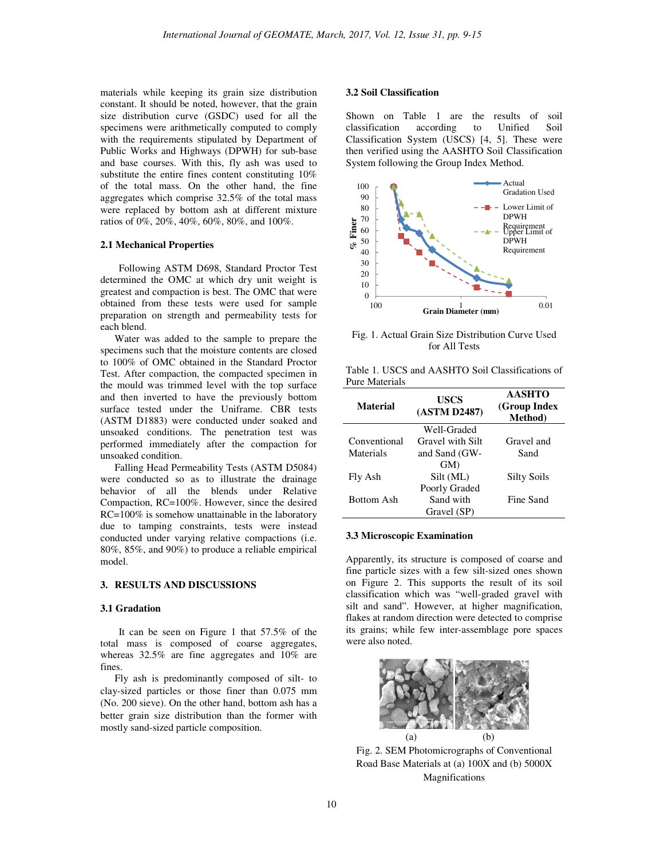materials while keeping its grain size distribution constant. It should be noted, however, that the grain size distribution curve (GSDC) used for all the specimens were arithmetically computed to comply with the requirements stipulated by Department of Public Works and Highways (DPWH) for sub-base and base courses. With this, fly ash was used to substitute the entire fines content constituting 10% of the total mass. On the other hand, the fine aggregates which comprise 32.5% of the total mass were replaced by bottom ash at different mixture ratios of 0%, 20%, 40%, 60%, 80%, and 100%.

## **2.1 Mechanical Properties**

Following ASTM D698, Standard Proctor Test determined the OMC at which dry unit weight is greatest and compaction is best. The OMC that were obtained from these tests were used for sample preparation on strength and permeability tests for each blend.

Water was added to the sample to prepare the specimens such that the moisture contents are closed to 100% of OMC obtained in the Standard Proctor Test. After compaction, the compacted specimen in the mould was trimmed level with the top surface and then inverted to have the previously bottom surface tested under the Uniframe. CBR tests (ASTM D1883) were conducted under soaked and unsoaked conditions. The penetration test was performed immediately after the compaction for unsoaked condition.

Falling Head Permeability Tests (ASTM D5084) were conducted so as to illustrate the drainage behavior of all the blends under Relative Compaction, RC=100%. However, since the desired RC=100% is somehow unattainable in the laboratory due to tamping constraints, tests were instead conducted under varying relative compactions (i.e. 80%, 85%, and 90%) to produce a reliable empirical model.

## **3. RESULTS AND DISCUSSIONS**

## **3.1 Gradation**

 It can be seen on Figure 1 that 57.5% of the total mass is composed of coarse aggregates, whereas 32.5% are fine aggregates and 10% are fines.

Fly ash is predominantly composed of silt- to clay-sized particles or those finer than 0.075 mm (No. 200 sieve). On the other hand, bottom ash has a better grain size distribution than the former with mostly sand-sized particle composition.

## **3.2 Soil Classification**

Shown on Table 1 are the results of soil classification according to Unified Soil Classification System (USCS) [4, 5]. These were then verified using the AASHTO Soil Classification System following the Group Index Method.



Fig. 1. Actual Grain Size Distribution Curve Used for All Tests

|                |  | Table 1. USCS and AASHTO Soil Classifications of |  |
|----------------|--|--------------------------------------------------|--|
| Pure Materials |  |                                                  |  |

| <b>Material</b> | <b>USCS</b><br>(ASTM D2487) | <b>AASHTO</b><br>(Group Index<br><b>Method</b> ) |
|-----------------|-----------------------------|--------------------------------------------------|
|                 | Well-Graded                 |                                                  |
| Conventional    | Gravel with Silt            | Gravel and                                       |
| Materials       | and Sand (GW-               | Sand                                             |
|                 | GM)                         |                                                  |
| Fly Ash         | Silt (ML)                   | Silty Soils                                      |
|                 | Poorly Graded               |                                                  |
| Bottom Ash      | Sand with                   | Fine Sand                                        |
|                 | Gravel (SP)                 |                                                  |

## **3.3 Microscopic Examination**

Apparently, its structure is composed of coarse and fine particle sizes with a few silt-sized ones shown on Figure 2. This supports the result of its soil classification which was "well-graded gravel with silt and sand". However, at higher magnification, flakes at random direction were detected to comprise its grains; while few inter-assemblage pore spaces were also noted.



Fig. 2. SEM Photomicrographs of Conventional Road Base Materials at (a) 100X and (b) 5000X Magnifications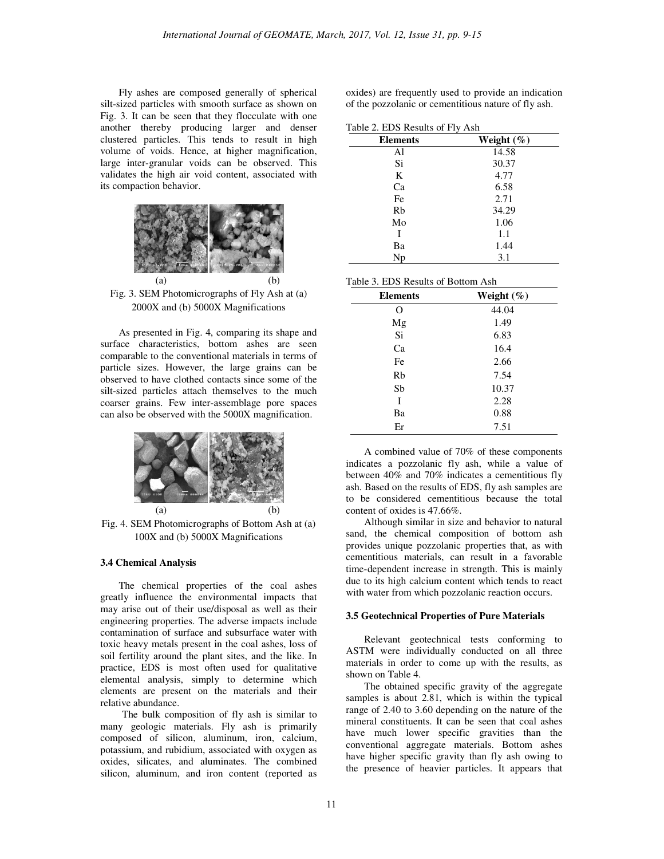Fly ashes are composed generally of spherical silt-sized particles with smooth surface as shown on Fig. 3. It can be seen that they flocculate with one another thereby producing larger and denser clustered particles. This tends to result in high volume of voids. Hence, at higher magnification, large inter-granular voids can be observed. This validates the high air void content, associated with its compaction behavior.



Fig. 3. SEM Photomicrographs of Fly Ash at (a) 2000X and (b) 5000X Magnifications

As presented in Fig. 4, comparing its shape and surface characteristics, bottom ashes are seen comparable to the conventional materials in terms of particle sizes. However, the large grains can be observed to have clothed contacts since some of the silt-sized particles attach themselves to the much coarser grains. Few inter-assemblage pore spaces can also be observed with the 5000X magnification.



Fig. 4. SEM Photomicrographs of Bottom Ash at (a) 100X and (b) 5000X Magnifications

## **3.4 Chemical Analysis**

The chemical properties of the coal ashes greatly influence the environmental impacts that may arise out of their use/disposal as well as their engineering properties. The adverse impacts include contamination of surface and subsurface water with toxic heavy metals present in the coal ashes, loss of soil fertility around the plant sites, and the like. In practice, EDS is most often used for qualitative elemental analysis, simply to determine which elements are present on the materials and their relative abundance.

The bulk composition of fly ash is similar to many geologic materials. Fly ash is primarily composed of silicon, aluminum, iron, calcium, potassium, and rubidium, associated with oxygen as oxides, silicates, and aluminates. The combined silicon, aluminum, and iron content (reported as

oxides) are frequently used to provide an indication of the pozzolanic or cementitious nature of fly ash.

|  |  | Table 2. EDS Results of Fly Ash |  |  |  |
|--|--|---------------------------------|--|--|--|
|--|--|---------------------------------|--|--|--|

| <b>Elements</b> | Weight $(\%)$ |
|-----------------|---------------|
| Al              | 14.58         |
| Si              | 30.37         |
| K               | 4.77          |
| Ca              | 6.58          |
| Fe              | 2.71          |
| Rb              | 34.29         |
| Mo              | 1.06          |
|                 | 1.1           |
| Ba              | 1.44          |
| Np              | 3.1           |

|  |  |  | Table 3. EDS Results of Bottom Ash |  |
|--|--|--|------------------------------------|--|
|--|--|--|------------------------------------|--|

| <b>Elements</b> | Weight $(\%)$ |
|-----------------|---------------|
| Ω               | 44.04         |
| Mg              | 1.49          |
| Si              | 6.83          |
| Ca              | 16.4          |
| Fe              | 2.66          |
| Rb              | 7.54          |
| Sb              | 10.37         |
| I               | 2.28          |
| Ba              | 0.88          |
| Er              | 7.51          |

A combined value of 70% of these components indicates a pozzolanic fly ash, while a value of between 40% and 70% indicates a cementitious fly ash. Based on the results of EDS, fly ash samples are to be considered cementitious because the total content of oxides is 47.66%.

Although similar in size and behavior to natural sand, the chemical composition of bottom ash provides unique pozzolanic properties that, as with cementitious materials, can result in a favorable time-dependent increase in strength. This is mainly due to its high calcium content which tends to react with water from which pozzolanic reaction occurs.

#### **3.5 Geotechnical Properties of Pure Materials**

 Relevant geotechnical tests conforming to ASTM were individually conducted on all three materials in order to come up with the results, as shown on Table 4.

 The obtained specific gravity of the aggregate samples is about 2.81, which is within the typical range of 2.40 to 3.60 depending on the nature of the mineral constituents. It can be seen that coal ashes have much lower specific gravities than the conventional aggregate materials. Bottom ashes have higher specific gravity than fly ash owing to the presence of heavier particles. It appears that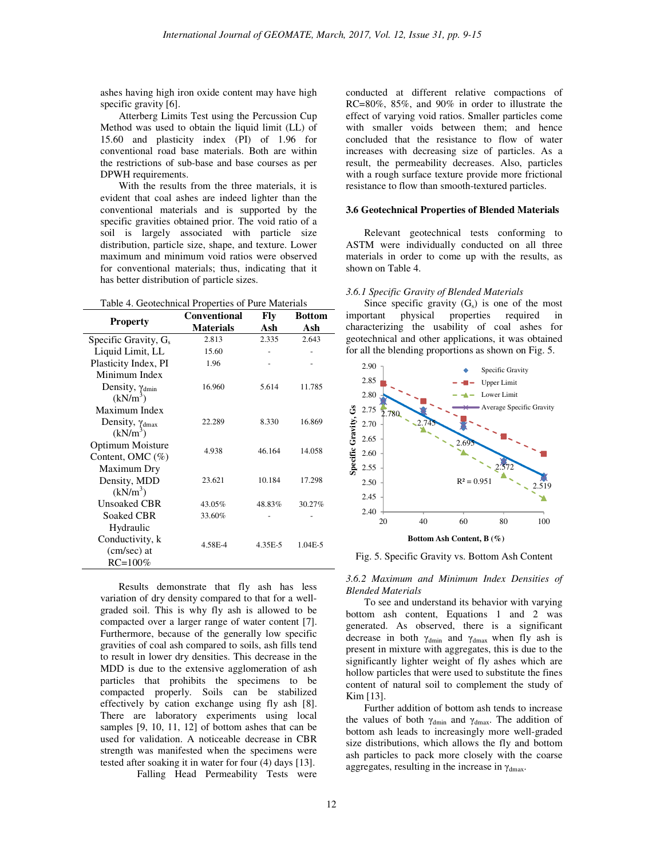ashes having high iron oxide content may have high specific gravity [6].

 Atterberg Limits Test using the Percussion Cup Method was used to obtain the liquid limit (LL) of 15.60 and plasticity index (PI) of 1.96 for conventional road base materials. Both are within the restrictions of sub-base and base courses as per DPWH requirements.

 With the results from the three materials, it is evident that coal ashes are indeed lighter than the conventional materials and is supported by the specific gravities obtained prior. The void ratio of a soil is largely associated with particle size distribution, particle size, shape, and texture. Lower maximum and minimum void ratios were observed for conventional materials; thus, indicating that it has better distribution of particle sizes.

Table 4. Geotechnical Properties of Pure Materials

|                                 | <b>Conventional</b> | Fly     | <b>Bottom</b> |
|---------------------------------|---------------------|---------|---------------|
| <b>Property</b>                 | <b>Materials</b>    | Ash     | Ash           |
| Specific Gravity, $G_s$         | 2.813               | 2.335   | 2.643         |
| Liquid Limit, LL                | 15.60               |         |               |
| Plasticity Index, PI            | 1.96                |         |               |
| Minimum Index                   |                     |         |               |
| Density, $\gamma_{\text{dmin}}$ | 16.960              | 5.614   | 11.785        |
| $(kN/m^3)$                      |                     |         |               |
| Maximum Index                   |                     |         |               |
| Density, $\gamma_{dmax}$        | 22.289              | 8.330   | 16.869        |
| $(kN/m^3)$                      |                     |         |               |
| Optimum Moisture                | 4.938               | 46.164  | 14.058        |
| Content, OMC $(\%)$             |                     |         |               |
| Maximum Dry                     |                     |         |               |
| Density, MDD                    | 23.621              | 10.184  | 17.298        |
| (kN/m <sup>3</sup> )            |                     |         |               |
| <b>Unsoaked CBR</b>             | 43.05%              | 48.83%  | 30.27%        |
| Soaked CBR                      | 33.60%              |         |               |
| Hydraulic                       |                     |         |               |
| Conductivity, k                 |                     | 4.35E-5 | 1.04E-5       |
| (cm/sec) at                     | 4.58E-4             |         |               |
| $RC = 100\%$                    |                     |         |               |

 Results demonstrate that fly ash has less variation of dry density compared to that for a wellgraded soil. This is why fly ash is allowed to be compacted over a larger range of water content [7]. Furthermore, because of the generally low specific gravities of coal ash compared to soils, ash fills tend to result in lower dry densities. This decrease in the MDD is due to the extensive agglomeration of ash particles that prohibits the specimens to be compacted properly. Soils can be stabilized effectively by cation exchange using fly ash [8]. There are laboratory experiments using local samples [9, 10, 11, 12] of bottom ashes that can be used for validation. A noticeable decrease in CBR strength was manifested when the specimens were tested after soaking it in water for four (4) days [13].

Falling Head Permeability Tests were

conducted at different relative compactions of RC=80%, 85%, and 90% in order to illustrate the effect of varying void ratios. Smaller particles come with smaller voids between them; and hence concluded that the resistance to flow of water increases with decreasing size of particles. As a result, the permeability decreases. Also, particles with a rough surface texture provide more frictional resistance to flow than smooth-textured particles.

## **3.6 Geotechnical Properties of Blended Materials**

 Relevant geotechnical tests conforming to ASTM were individually conducted on all three materials in order to come up with the results, as shown on Table 4.

#### *3.6.1 Specific Gravity of Blended Materials*

Since specific gravity  $(G_s)$  is one of the most<br>important physical properties required in properties required in characterizing the usability of coal ashes for geotechnical and other applications, it was obtained for all the blending proportions as shown on Fig. 5.



Fig. 5. Specific Gravity vs. Bottom Ash Content

*3.6.2 Maximum and Minimum Index Densities of Blended Materials* 

 To see and understand its behavior with varying bottom ash content, Equations 1 and 2 was generated. As observed, there is a significant decrease in both  $\gamma_{\text{dmin}}$  and  $\gamma_{\text{dmax}}$  when fly ash is present in mixture with aggregates, this is due to the significantly lighter weight of fly ashes which are hollow particles that were used to substitute the fines content of natural soil to complement the study of Kim [13].

 Further addition of bottom ash tends to increase the values of both  $\gamma_{\text{dmin}}$  and  $\gamma_{\text{dmax}}$ . The addition of bottom ash leads to increasingly more well-graded size distributions, which allows the fly and bottom ash particles to pack more closely with the coarse aggregates, resulting in the increase in  $\gamma_{\text{dmax}}$ .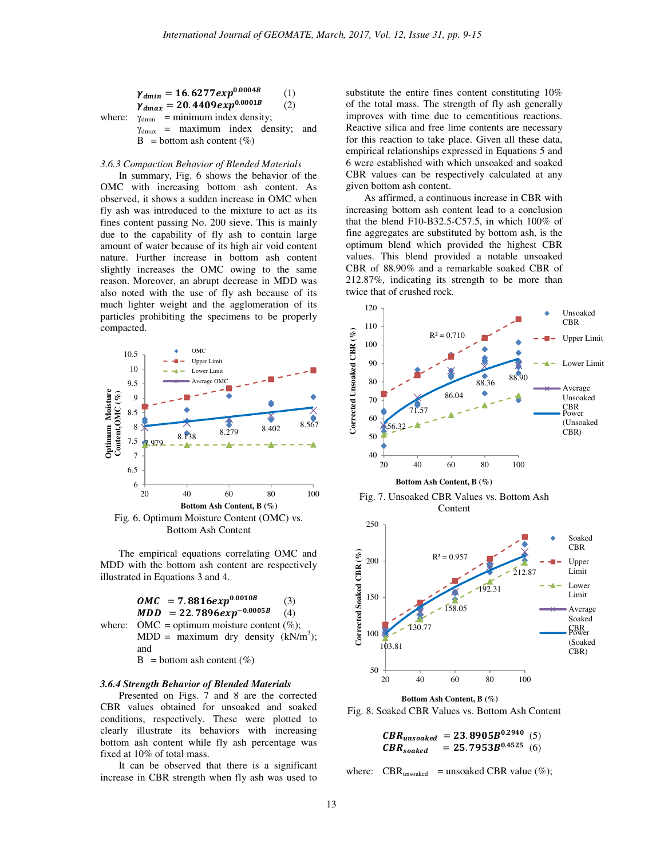$$
\gamma_{dmin} = 16.6277 exp^{0.0004B}
$$
 (1)  
\n
$$
\gamma_{dmax} = 20.4409 exp^{0.0001B}
$$
 (2)  
\nwhere: γ<sub>dmin</sub> = minimum index density;  
\nγ<sub>dmax</sub> = maximum index density; and  
\nB = bottom ash content (%)

#### *3.6.3 Compaction Behavior of Blended Materials*

 In summary, Fig. 6 shows the behavior of the OMC with increasing bottom ash content. As observed, it shows a sudden increase in OMC when fly ash was introduced to the mixture to act as its fines content passing No. 200 sieve. This is mainly due to the capability of fly ash to contain large amount of water because of its high air void content nature. Further increase in bottom ash content slightly increases the OMC owing to the same reason. Moreover, an abrupt decrease in MDD was also noted with the use of fly ash because of its much lighter weight and the agglomeration of its particles prohibiting the specimens to be properly compacted.



Bottom Ash Content

 The empirical equations correlating OMC and MDD with the bottom ash content are respectively illustrated in Equations 3 and 4.



#### *3.6.4 Strength Behavior of Blended Materials*

 Presented on Figs. 7 and 8 are the corrected CBR values obtained for unsoaked and soaked conditions, respectively. These were plotted to clearly illustrate its behaviors with increasing bottom ash content while fly ash percentage was fixed at 10% of total mass.

It can be observed that there is a significant increase in CBR strength when fly ash was used to substitute the entire fines content constituting 10% of the total mass. The strength of fly ash generally improves with time due to cementitious reactions. Reactive silica and free lime contents are necessary for this reaction to take place. Given all these data, empirical relationships expressed in Equations 5 and 6 were established with which unsoaked and soaked CBR values can be respectively calculated at any given bottom ash content.

As affirmed, a continuous increase in CBR with increasing bottom ash content lead to a conclusion that the blend F10-B32.5-C57.5, in which 100% of fine aggregates are substituted by bottom ash, is the optimum blend which provided the highest CBR values. This blend provided a notable unsoaked CBR of 88.90% and a remarkable soaked CBR of 212.87%, indicating its strength to be more than twice that of crushed rock.





 $CBR_{unsoaked} = 23.8905B^{0.2940}$  (5)  $CBR_{soaked} = 25.7953B^{0.4525}$  (6)

where:  $CBR_{unsoded}$  = unsoaked CBR value (%);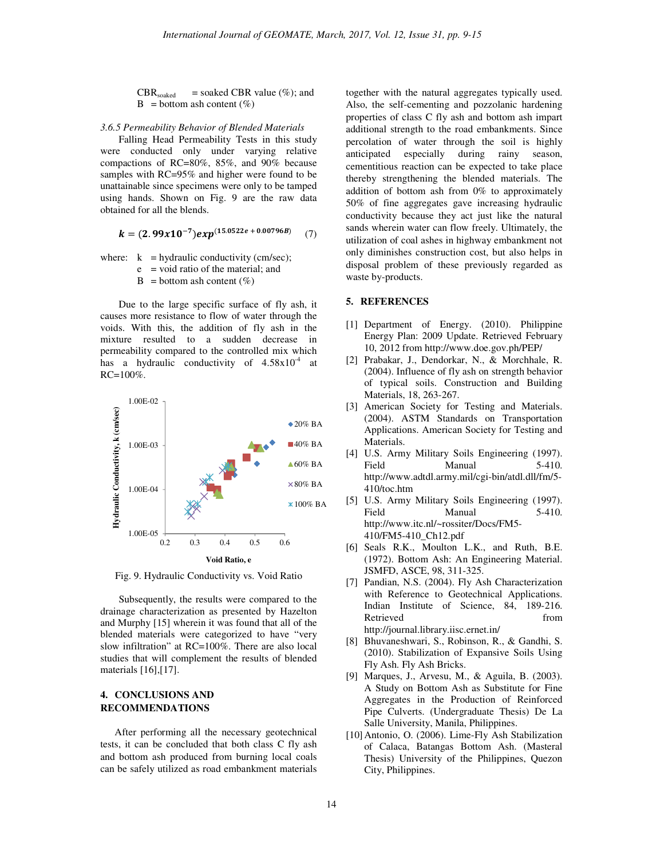$CBR_{soaked}$  = soaked CBR value (%); and  $B = bottom$  ash content  $(\%)$ 

#### *3.6.5 Permeability Behavior of Blended Materials*

Falling Head Permeability Tests in this study were conducted only under varying relative compactions of RC=80%, 85%, and 90% because samples with RC=95% and higher were found to be unattainable since specimens were only to be tamped using hands. Shown on Fig. 9 are the raw data obtained for all the blends.

$$
k = (2.99x10^{-7})exp^{(15.0522e + 0.00796B)}(7)
$$

where:  $k = hydraulic conductivity (cm/sec);$ 

 $e =$  void ratio of the material; and

 $B = bottom$  ash content (%)

Due to the large specific surface of fly ash, it causes more resistance to flow of water through the voids. With this, the addition of fly ash in the mixture resulted to a sudden decrease in permeability compared to the controlled mix which has a hydraulic conductivity of  $4.58 \times 10^{-4}$  at RC=100%.



Fig. 9. Hydraulic Conductivity vs. Void Ratio

 Subsequently, the results were compared to the drainage characterization as presented by Hazelton and Murphy [15] wherein it was found that all of the blended materials were categorized to have "very slow infiltration" at RC=100%. There are also local studies that will complement the results of blended materials [16],[17].

# **4. CONCLUSIONS AND RECOMMENDATIONS**

After performing all the necessary geotechnical tests, it can be concluded that both class C fly ash and bottom ash produced from burning local coals can be safely utilized as road embankment materials

together with the natural aggregates typically used. Also, the self-cementing and pozzolanic hardening properties of class C fly ash and bottom ash impart additional strength to the road embankments. Since percolation of water through the soil is highly anticipated especially during rainy season, cementitious reaction can be expected to take place thereby strengthening the blended materials. The addition of bottom ash from 0% to approximately 50% of fine aggregates gave increasing hydraulic conductivity because they act just like the natural sands wherein water can flow freely. Ultimately, the utilization of coal ashes in highway embankment not only diminishes construction cost, but also helps in disposal problem of these previously regarded as waste by-products.

## **5. REFERENCES**

- [1] Department of Energy. (2010). Philippine Energy Plan: 2009 Update. Retrieved February 10, 2012 from http://www.doe.gov.ph/PEP/
- [2] Prabakar, J., Dendorkar, N., & Morchhale, R. (2004). Influence of fly ash on strength behavior of typical soils. Construction and Building Materials, 18, 263-267.
- [3] American Society for Testing and Materials. (2004). ASTM Standards on Transportation Applications. American Society for Testing and Materials.
- [4] U.S. Army Military Soils Engineering (1997). Field Manual 5-410. http://www.adtdl.army.mil/cgi-bin/atdl.dll/fm/5- 410/toc.htm
- [5] U.S. Army Military Soils Engineering (1997). Field Manual 5-410. http://www.itc.nl/~rossiter/Docs/FM5- 410/FM5-410\_Ch12.pdf
- [6] Seals R.K., Moulton L.K., and Ruth, B.E. (1972). Bottom Ash: An Engineering Material. JSMFD, ASCE, 98, 311-325.
- [7] Pandian, N.S. (2004). Fly Ash Characterization with Reference to Geotechnical Applications. Indian Institute of Science, 84, 189-216. Retrieved from  $\sim$ http://journal.library.iisc.ernet.in/
- [8] Bhuvaneshwari, S., Robinson, R., & Gandhi, S. (2010). Stabilization of Expansive Soils Using Fly Ash. Fly Ash Bricks.
- [9] Marques, J., Arvesu, M., & Aguila, B. (2003). A Study on Bottom Ash as Substitute for Fine Aggregates in the Production of Reinforced Pipe Culverts. (Undergraduate Thesis) De La Salle University, Manila, Philippines.
- [10]Antonio, O. (2006). Lime-Fly Ash Stabilization of Calaca, Batangas Bottom Ash. (Masteral Thesis) University of the Philippines, Quezon City, Philippines.